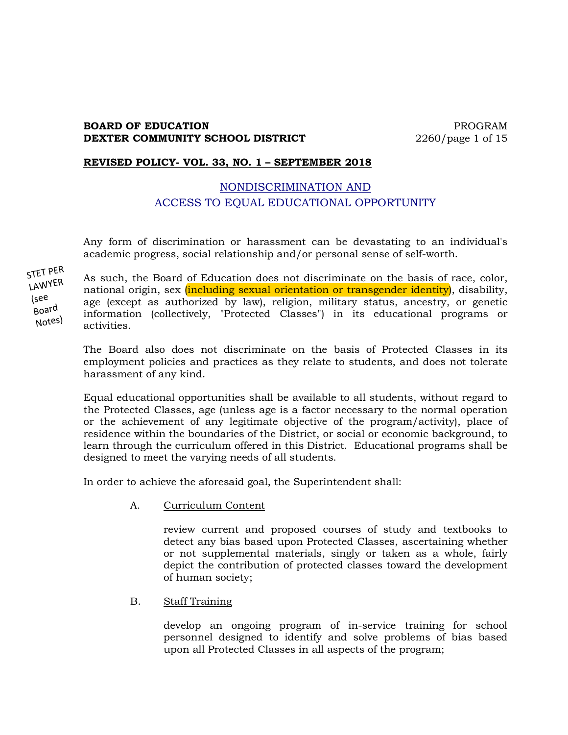### **BOARD OF EDUCATION PROGRAM DEXTER COMMUNITY SCHOOL DISTRICT** 2260/page 1 of 15

#### **REVISED POLICY- VOL. 33, NO. 1 – SEPTEMBER 2018**

# NONDISCRIMINATION AND ACCESS TO EQUAL EDUCATIONAL OPPORTUNITY

Any form of discrimination or harassment can be devastating to an individual's academic progress, social relationship and/or personal sense of self-worth.

STET PER LAWYER (see Board Notes)

As such, the Board of Education does not discriminate on the basis of race, color, national origin, sex *(including sexual orientation or transgender identity)*, disability, age (except as authorized by law), religion, military status, ancestry, or genetic information (collectively, "Protected Classes") in its educational programs or activities.

The Board also does not discriminate on the basis of Protected Classes in its employment policies and practices as they relate to students, and does not tolerate harassment of any kind.

Equal educational opportunities shall be available to all students, without regard to the Protected Classes, age (unless age is a factor necessary to the normal operation or the achievement of any legitimate objective of the program/activity), place of residence within the boundaries of the District, or social or economic background, to learn through the curriculum offered in this District. Educational programs shall be designed to meet the varying needs of all students.

In order to achieve the aforesaid goal, the Superintendent shall:

A. Curriculum Content

review current and proposed courses of study and textbooks to detect any bias based upon Protected Classes, ascertaining whether or not supplemental materials, singly or taken as a whole, fairly depict the contribution of protected classes toward the development of human society;

B. Staff Training

develop an ongoing program of in-service training for school personnel designed to identify and solve problems of bias based upon all Protected Classes in all aspects of the program;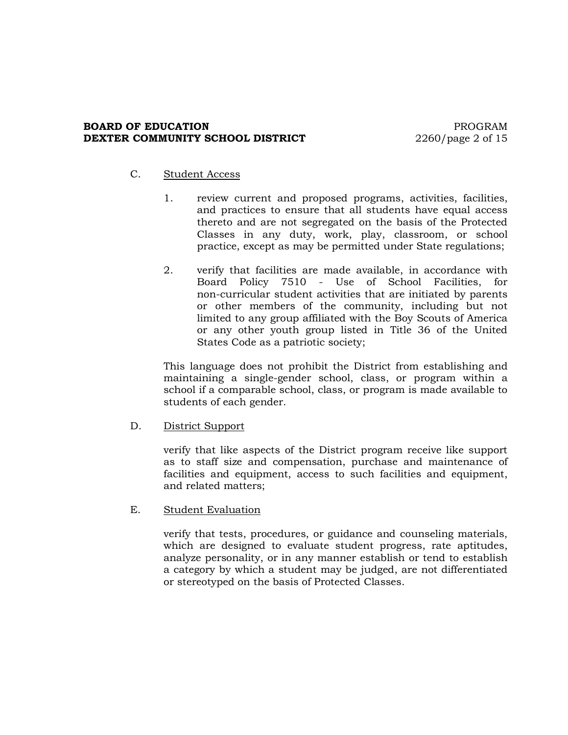#### **BOARD OF EDUCATION PROGRAM DEXTER COMMUNITY SCHOOL DISTRICT** 2260/page 2 of 15

#### C. Student Access

- 1. review current and proposed programs, activities, facilities, and practices to ensure that all students have equal access thereto and are not segregated on the basis of the Protected Classes in any duty, work, play, classroom, or school practice, except as may be permitted under State regulations;
- 2. verify that facilities are made available, in accordance with Board Policy 7510 - Use of School Facilities, for non-curricular student activities that are initiated by parents or other members of the community, including but not limited to any group affiliated with the Boy Scouts of America or any other youth group listed in Title 36 of the United States Code as a patriotic society;

This language does not prohibit the District from establishing and maintaining a single-gender school, class, or program within a school if a comparable school, class, or program is made available to students of each gender.

# D. District Support

verify that like aspects of the District program receive like support as to staff size and compensation, purchase and maintenance of facilities and equipment, access to such facilities and equipment, and related matters;

E. Student Evaluation

verify that tests, procedures, or guidance and counseling materials, which are designed to evaluate student progress, rate aptitudes, analyze personality, or in any manner establish or tend to establish a category by which a student may be judged, are not differentiated or stereotyped on the basis of Protected Classes.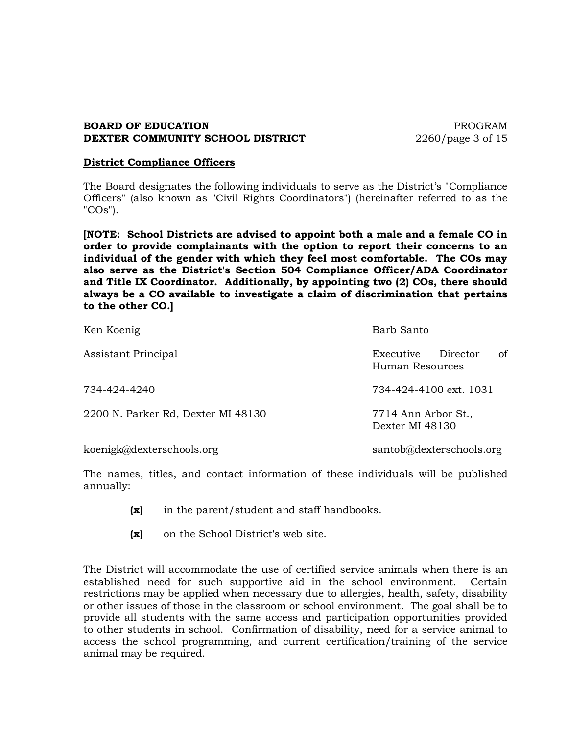#### **BOARD OF EDUCATION PROGRAM DEXTER COMMUNITY SCHOOL DISTRICT** 2260/page 3 of 15

#### **District Compliance Officers**

The Board designates the following individuals to serve as the District's "Compliance Officers" (also known as "Civil Rights Coordinators") (hereinafter referred to as the "COs").

**[NOTE: School Districts are advised to appoint both a male and a female CO in order to provide complainants with the option to report their concerns to an individual of the gender with which they feel most comfortable. The COs may also serve as the District's Section 504 Compliance Officer/ADA Coordinator and Title IX Coordinator. Additionally, by appointing two (2) COs, there should always be a CO available to investigate a claim of discrimination that pertains to the other CO.]**

| Ken Koenig                         | Barb Santo                                     |
|------------------------------------|------------------------------------------------|
| Assistant Principal                | of<br>Director<br>Executive<br>Human Resources |
| 734-424-4240                       | 734-424-4100 ext. 1031                         |
| 2200 N. Parker Rd, Dexter MI 48130 | 7714 Ann Arbor St.,<br>Dexter MI 48130         |
| koenigk@dexterschools.org          | santob@dexterschools.org                       |

The names, titles, and contact information of these individuals will be published annually:

- **(x)** in the parent/student and staff handbooks.
- **(x)** on the School District's web site.

The District will accommodate the use of certified service animals when there is an established need for such supportive aid in the school environment. Certain restrictions may be applied when necessary due to allergies, health, safety, disability or other issues of those in the classroom or school environment. The goal shall be to provide all students with the same access and participation opportunities provided to other students in school. Confirmation of disability, need for a service animal to access the school programming, and current certification/training of the service animal may be required.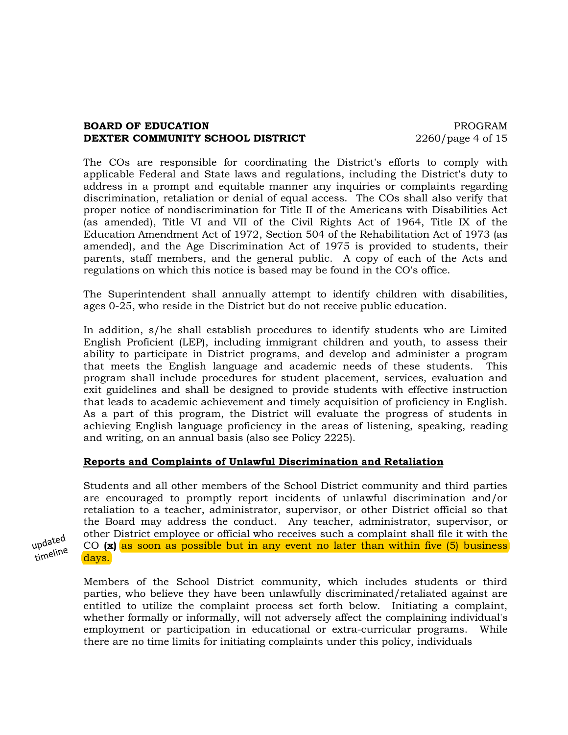### **BOARD OF EDUCATION PROGRAM DEXTER COMMUNITY SCHOOL DISTRICT** 2260/page 4 of 15

The COs are responsible for coordinating the District's efforts to comply with applicable Federal and State laws and regulations, including the District's duty to address in a prompt and equitable manner any inquiries or complaints regarding discrimination, retaliation or denial of equal access. The COs shall also verify that proper notice of nondiscrimination for Title II of the Americans with Disabilities Act (as amended), Title VI and VII of the Civil Rights Act of 1964, Title IX of the Education Amendment Act of 1972, Section 504 of the Rehabilitation Act of 1973 (as amended), and the Age Discrimination Act of 1975 is provided to students, their parents, staff members, and the general public. A copy of each of the Acts and regulations on which this notice is based may be found in the CO's office.

The Superintendent shall annually attempt to identify children with disabilities, ages 0-25, who reside in the District but do not receive public education.

In addition, s/he shall establish procedures to identify students who are Limited English Proficient (LEP), including immigrant children and youth, to assess their ability to participate in District programs, and develop and administer a program that meets the English language and academic needs of these students. This program shall include procedures for student placement, services, evaluation and exit guidelines and shall be designed to provide students with effective instruction that leads to academic achievement and timely acquisition of proficiency in English. As a part of this program, the District will evaluate the progress of students in achieving English language proficiency in the areas of listening, speaking, reading and writing, on an annual basis (also see Policy 2225).

# **Reports and Complaints of Unlawful Discrimination and Retaliation**

Students and all other members of the School District community and third parties are encouraged to promptly report incidents of unlawful discrimination and/or retaliation to a teacher, administrator, supervisor, or other District official so that the Board may address the conduct. Any teacher, administrator, supervisor, or other District employee or official who receives such a complaint shall file it with the CO **(x)** as soon as possible but in any event no later than within five (5) business days.

Members of the School District community, which includes students or third parties, who believe they have been unlawfully discriminated/retaliated against are entitled to utilize the complaint process set forth below. Initiating a complaint, whether formally or informally, will not adversely affect the complaining individual's employment or participation in educational or extra-curricular programs. While there are no time limits for initiating complaints under this policy, individuals

updated timeline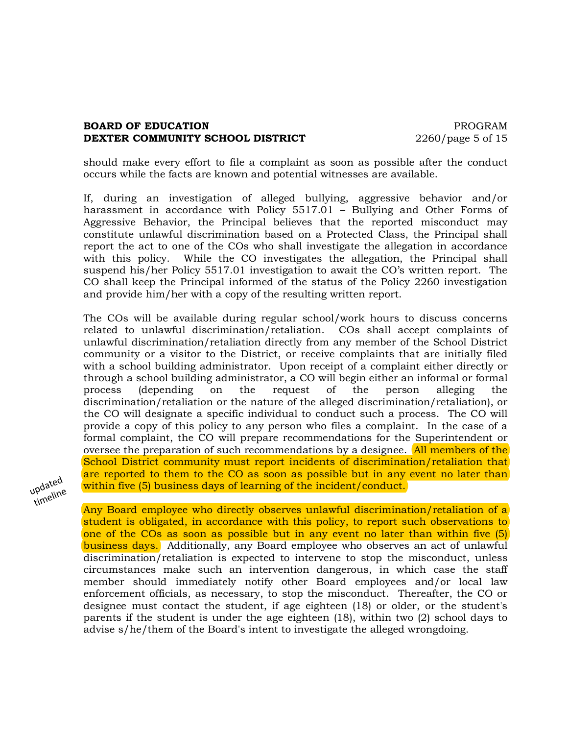### **BOARD OF EDUCATION PROGRAM DEXTER COMMUNITY SCHOOL DISTRICT** 2260/page 5 of 15

should make every effort to file a complaint as soon as possible after the conduct occurs while the facts are known and potential witnesses are available.

If, during an investigation of alleged bullying, aggressive behavior and/or harassment in accordance with Policy 5517.01 – Bullying and Other Forms of Aggressive Behavior, the Principal believes that the reported misconduct may constitute unlawful discrimination based on a Protected Class, the Principal shall report the act to one of the COs who shall investigate the allegation in accordance with this policy. While the CO investigates the allegation, the Principal shall suspend his/her Policy 5517.01 investigation to await the CO's written report. The CO shall keep the Principal informed of the status of the Policy 2260 investigation and provide him/her with a copy of the resulting written report.

The COs will be available during regular school/work hours to discuss concerns related to unlawful discrimination/retaliation. COs shall accept complaints of unlawful discrimination/retaliation directly from any member of the School District community or a visitor to the District, or receive complaints that are initially filed with a school building administrator. Upon receipt of a complaint either directly or through a school building administrator, a CO will begin either an informal or formal process (depending on the request of the person alleging the discrimination/retaliation or the nature of the alleged discrimination/retaliation), or the CO will designate a specific individual to conduct such a process. The CO will provide a copy of this policy to any person who files a complaint. In the case of a formal complaint, the CO will prepare recommendations for the Superintendent or oversee the preparation of such recommendations by a designee. All members of the School District community must report incidents of discrimination/retaliation that are reported to them to the CO as soon as possible but in any event no later than within five (5) business days of learning of the incident/conduct.



Any Board employee who directly observes unlawful discrimination/retaliation of a student is obligated, in accordance with this policy, to report such observations to one of the COs as soon as possible but in any event no later than within five (5) business days. Additionally, any Board employee who observes an act of unlawful discrimination/retaliation is expected to intervene to stop the misconduct, unless circumstances make such an intervention dangerous, in which case the staff member should immediately notify other Board employees and/or local law enforcement officials, as necessary, to stop the misconduct. Thereafter, the CO or designee must contact the student, if age eighteen (18) or older, or the student's parents if the student is under the age eighteen (18), within two (2) school days to advise s/he/them of the Board's intent to investigate the alleged wrongdoing.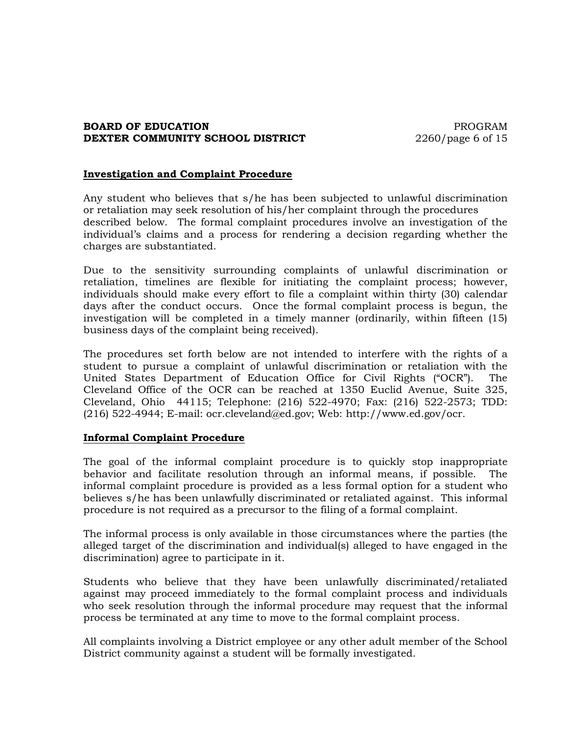### **BOARD OF EDUCATION PROGRAM DEXTER COMMUNITY SCHOOL DISTRICT** 2260/page 6 of 15

#### **Investigation and Complaint Procedure**

Any student who believes that s/he has been subjected to unlawful discrimination or retaliation may seek resolution of his/her complaint through the procedures described below. The formal complaint procedures involve an investigation of the individual's claims and a process for rendering a decision regarding whether the charges are substantiated.

Due to the sensitivity surrounding complaints of unlawful discrimination or retaliation, timelines are flexible for initiating the complaint process; however, individuals should make every effort to file a complaint within thirty (30) calendar days after the conduct occurs. Once the formal complaint process is begun, the investigation will be completed in a timely manner (ordinarily, within fifteen (15) business days of the complaint being received).

The procedures set forth below are not intended to interfere with the rights of a student to pursue a complaint of unlawful discrimination or retaliation with the United States Department of Education Office for Civil Rights ("OCR"). The Cleveland Office of the OCR can be reached at 1350 Euclid Avenue, Suite 325, Cleveland, Ohio 44115; Telephone: (216) 522-4970; Fax: (216) 522-2573; TDD: (216) 522-4944; E-mail: ocr.cleveland@ed.gov; Web: http://www.ed.gov/ocr.

#### **Informal Complaint Procedure**

The goal of the informal complaint procedure is to quickly stop inappropriate behavior and facilitate resolution through an informal means, if possible. The informal complaint procedure is provided as a less formal option for a student who believes s/he has been unlawfully discriminated or retaliated against. This informal procedure is not required as a precursor to the filing of a formal complaint.

The informal process is only available in those circumstances where the parties (the alleged target of the discrimination and individual(s) alleged to have engaged in the discrimination) agree to participate in it.

Students who believe that they have been unlawfully discriminated/retaliated against may proceed immediately to the formal complaint process and individuals who seek resolution through the informal procedure may request that the informal process be terminated at any time to move to the formal complaint process.

All complaints involving a District employee or any other adult member of the School District community against a student will be formally investigated.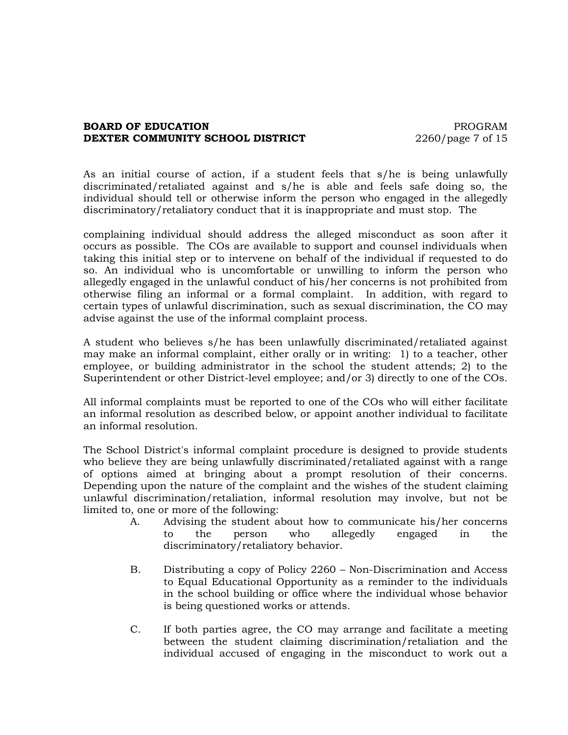### **BOARD OF EDUCATION PROGRAM DEXTER COMMUNITY SCHOOL DISTRICT** 2260/page 7 of 15

As an initial course of action, if a student feels that s/he is being unlawfully discriminated/retaliated against and s/he is able and feels safe doing so, the individual should tell or otherwise inform the person who engaged in the allegedly discriminatory/retaliatory conduct that it is inappropriate and must stop. The

complaining individual should address the alleged misconduct as soon after it occurs as possible. The COs are available to support and counsel individuals when taking this initial step or to intervene on behalf of the individual if requested to do so. An individual who is uncomfortable or unwilling to inform the person who allegedly engaged in the unlawful conduct of his/her concerns is not prohibited from otherwise filing an informal or a formal complaint. In addition, with regard to certain types of unlawful discrimination, such as sexual discrimination, the CO may advise against the use of the informal complaint process.

A student who believes s/he has been unlawfully discriminated/retaliated against may make an informal complaint, either orally or in writing: 1) to a teacher, other employee, or building administrator in the school the student attends; 2) to the Superintendent or other District-level employee; and/or 3) directly to one of the COs.

All informal complaints must be reported to one of the COs who will either facilitate an informal resolution as described below, or appoint another individual to facilitate an informal resolution.

The School District's informal complaint procedure is designed to provide students who believe they are being unlawfully discriminated/retaliated against with a range of options aimed at bringing about a prompt resolution of their concerns. Depending upon the nature of the complaint and the wishes of the student claiming unlawful discrimination/retaliation, informal resolution may involve, but not be limited to, one or more of the following:

- A. Advising the student about how to communicate his/her concerns to the person who allegedly engaged in the discriminatory/retaliatory behavior.
- B. Distributing a copy of Policy 2260 Non-Discrimination and Access to Equal Educational Opportunity as a reminder to the individuals in the school building or office where the individual whose behavior is being questioned works or attends.
- C. If both parties agree, the CO may arrange and facilitate a meeting between the student claiming discrimination/retaliation and the individual accused of engaging in the misconduct to work out a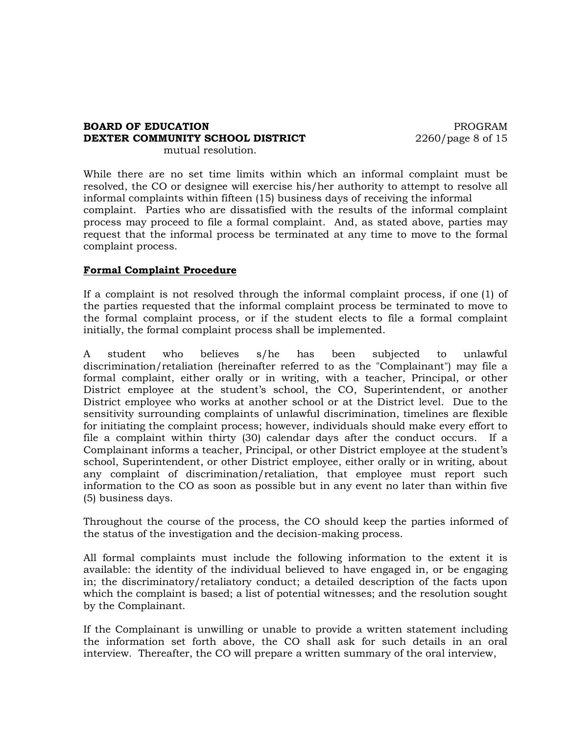#### **BOARD OF EDUCATION PROGRAM DEXTER COMMUNITY SCHOOL DISTRICT** 2260/page 8 of 15 mutual resolution.

While there are no set time limits within which an informal complaint must be resolved, the CO or designee will exercise his/her authority to attempt to resolve all informal complaints within fifteen (15) business days of receiving the informal complaint. Parties who are dissatisfied with the results of the informal complaint process may proceed to file a formal complaint. And, as stated above, parties may request that the informal process be terminated at any time to move to the formal complaint process.

# **Formal Complaint Procedure**

If a complaint is not resolved through the informal complaint process, if one (1) of the parties requested that the informal complaint process be terminated to move to the formal complaint process, or if the student elects to file a formal complaint initially, the formal complaint process shall be implemented.

A student who believes s/he has been subjected to unlawful discrimination/retaliation (hereinafter referred to as the "Complainant") may file a formal complaint, either orally or in writing, with a teacher, Principal, or other District employee at the student's school, the CO, Superintendent, or another District employee who works at another school or at the District level. Due to the sensitivity surrounding complaints of unlawful discrimination, timelines are flexible for initiating the complaint process; however, individuals should make every effort to file a complaint within thirty (30) calendar days after the conduct occurs. If a Complainant informs a teacher, Principal, or other District employee at the student's school, Superintendent, or other District employee, either orally or in writing, about any complaint of discrimination/retaliation, that employee must report such information to the CO as soon as possible but in any event no later than within five (5) business days.

Throughout the course of the process, the CO should keep the parties informed of the status of the investigation and the decision-making process.

All formal complaints must include the following information to the extent it is available: the identity of the individual believed to have engaged in, or be engaging in; the discriminatory/retaliatory conduct; a detailed description of the facts upon which the complaint is based; a list of potential witnesses; and the resolution sought by the Complainant.

If the Complainant is unwilling or unable to provide a written statement including the information set forth above, the CO shall ask for such details in an oral interview. Thereafter, the CO will prepare a written summary of the oral interview,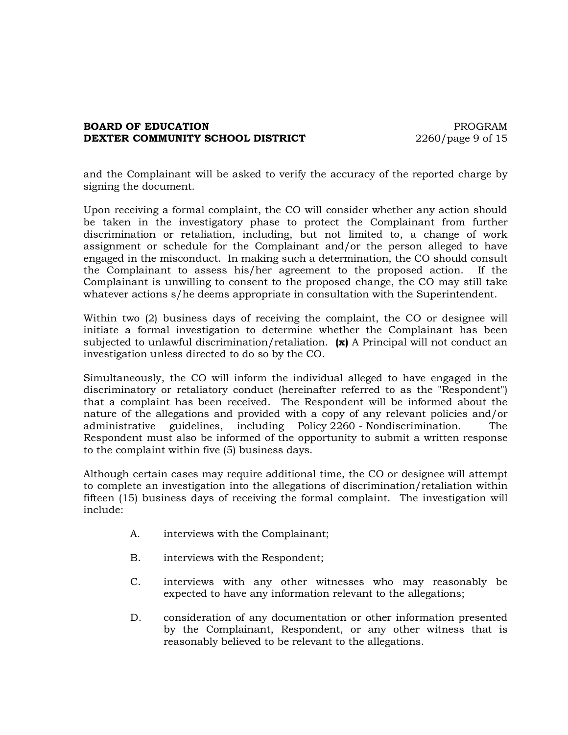### **BOARD OF EDUCATION PROGRAM DEXTER COMMUNITY SCHOOL DISTRICT** 2260/page 9 of 15

and the Complainant will be asked to verify the accuracy of the reported charge by signing the document.

Upon receiving a formal complaint, the CO will consider whether any action should be taken in the investigatory phase to protect the Complainant from further discrimination or retaliation, including, but not limited to, a change of work assignment or schedule for the Complainant and/or the person alleged to have engaged in the misconduct. In making such a determination, the CO should consult the Complainant to assess his/her agreement to the proposed action. If the Complainant is unwilling to consent to the proposed change, the CO may still take whatever actions s/he deems appropriate in consultation with the Superintendent.

Within two (2) business days of receiving the complaint, the CO or designee will initiate a formal investigation to determine whether the Complainant has been subjected to unlawful discrimination/retaliation. **(x)** A Principal will not conduct an investigation unless directed to do so by the CO.

Simultaneously, the CO will inform the individual alleged to have engaged in the discriminatory or retaliatory conduct (hereinafter referred to as the "Respondent") that a complaint has been received. The Respondent will be informed about the nature of the allegations and provided with a copy of any relevant policies and/or administrative guidelines, including Policy 2260 - Nondiscrimination. The Respondent must also be informed of the opportunity to submit a written response to the complaint within five (5) business days.

Although certain cases may require additional time, the CO or designee will attempt to complete an investigation into the allegations of discrimination/retaliation within fifteen (15) business days of receiving the formal complaint. The investigation will include:

- A. interviews with the Complainant;
- B. interviews with the Respondent;
- C. interviews with any other witnesses who may reasonably be expected to have any information relevant to the allegations;
- D. consideration of any documentation or other information presented by the Complainant, Respondent, or any other witness that is reasonably believed to be relevant to the allegations.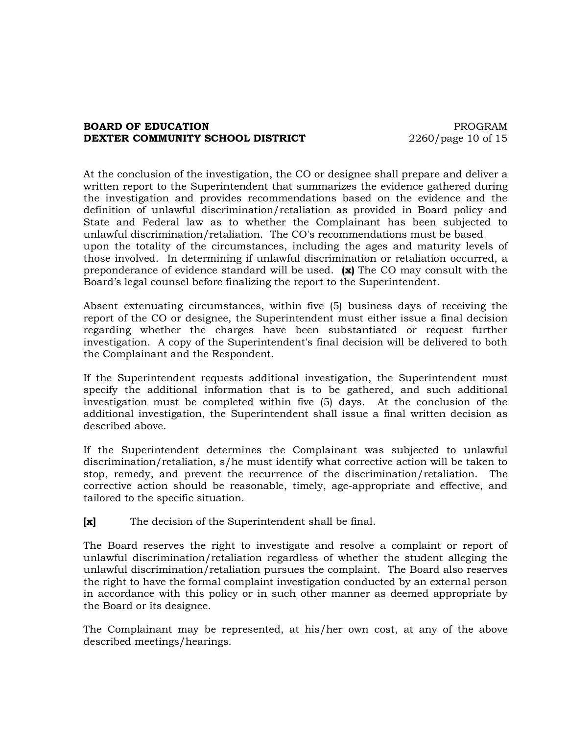### **BOARD OF EDUCATION PROGRAM DEXTER COMMUNITY SCHOOL DISTRICT** 2260/page 10 of 15

At the conclusion of the investigation, the CO or designee shall prepare and deliver a written report to the Superintendent that summarizes the evidence gathered during the investigation and provides recommendations based on the evidence and the definition of unlawful discrimination/retaliation as provided in Board policy and State and Federal law as to whether the Complainant has been subjected to unlawful discrimination/retaliation. The CO's recommendations must be based upon the totality of the circumstances, including the ages and maturity levels of those involved. In determining if unlawful discrimination or retaliation occurred, a preponderance of evidence standard will be used. **(x)** The CO may consult with the Board's legal counsel before finalizing the report to the Superintendent.

Absent extenuating circumstances, within five (5) business days of receiving the report of the CO or designee, the Superintendent must either issue a final decision regarding whether the charges have been substantiated or request further investigation. A copy of the Superintendent's final decision will be delivered to both the Complainant and the Respondent.

If the Superintendent requests additional investigation, the Superintendent must specify the additional information that is to be gathered, and such additional investigation must be completed within five (5) days. At the conclusion of the additional investigation, the Superintendent shall issue a final written decision as described above.

If the Superintendent determines the Complainant was subjected to unlawful discrimination/retaliation, s/he must identify what corrective action will be taken to stop, remedy, and prevent the recurrence of the discrimination/retaliation. The corrective action should be reasonable, timely, age-appropriate and effective, and tailored to the specific situation.

**[x]** The decision of the Superintendent shall be final.

The Board reserves the right to investigate and resolve a complaint or report of unlawful discrimination/retaliation regardless of whether the student alleging the unlawful discrimination/retaliation pursues the complaint. The Board also reserves the right to have the formal complaint investigation conducted by an external person in accordance with this policy or in such other manner as deemed appropriate by the Board or its designee.

The Complainant may be represented, at his/her own cost, at any of the above described meetings/hearings.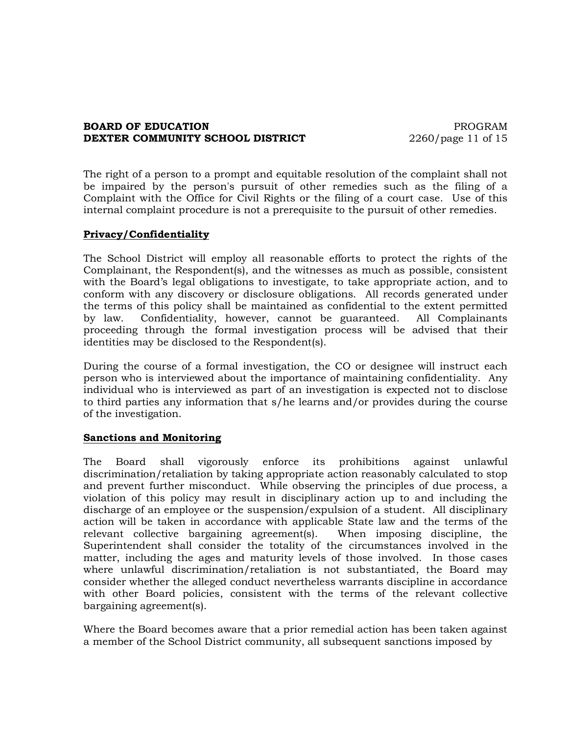### **BOARD OF EDUCATION PROGRAM DEXTER COMMUNITY SCHOOL DISTRICT** 2260/page 11 of 15

The right of a person to a prompt and equitable resolution of the complaint shall not be impaired by the person's pursuit of other remedies such as the filing of a Complaint with the Office for Civil Rights or the filing of a court case. Use of this internal complaint procedure is not a prerequisite to the pursuit of other remedies.

### **Privacy/Confidentiality**

The School District will employ all reasonable efforts to protect the rights of the Complainant, the Respondent(s), and the witnesses as much as possible, consistent with the Board's legal obligations to investigate, to take appropriate action, and to conform with any discovery or disclosure obligations. All records generated under the terms of this policy shall be maintained as confidential to the extent permitted by law. Confidentiality, however, cannot be guaranteed. All Complainants proceeding through the formal investigation process will be advised that their identities may be disclosed to the Respondent(s).

During the course of a formal investigation, the CO or designee will instruct each person who is interviewed about the importance of maintaining confidentiality. Any individual who is interviewed as part of an investigation is expected not to disclose to third parties any information that s/he learns and/or provides during the course of the investigation.

#### **Sanctions and Monitoring**

The Board shall vigorously enforce its prohibitions against unlawful discrimination/retaliation by taking appropriate action reasonably calculated to stop and prevent further misconduct. While observing the principles of due process, a violation of this policy may result in disciplinary action up to and including the discharge of an employee or the suspension/expulsion of a student. All disciplinary action will be taken in accordance with applicable State law and the terms of the relevant collective bargaining agreement(s). When imposing discipline, the Superintendent shall consider the totality of the circumstances involved in the matter, including the ages and maturity levels of those involved. In those cases where unlawful discrimination/retaliation is not substantiated, the Board may consider whether the alleged conduct nevertheless warrants discipline in accordance with other Board policies, consistent with the terms of the relevant collective bargaining agreement(s).

Where the Board becomes aware that a prior remedial action has been taken against a member of the School District community, all subsequent sanctions imposed by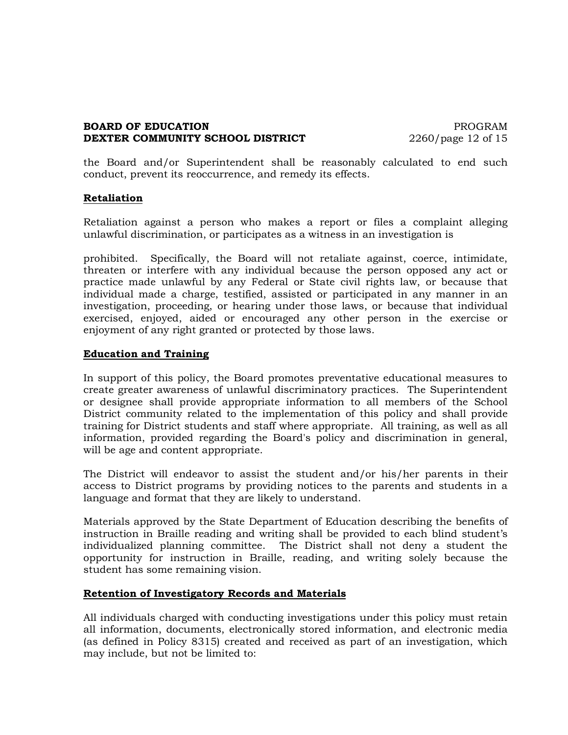### **BOARD OF EDUCATION PROGRAM DEXTER COMMUNITY SCHOOL DISTRICT** 2260/page 12 of 15

the Board and/or Superintendent shall be reasonably calculated to end such conduct, prevent its reoccurrence, and remedy its effects.

### **Retaliation**

Retaliation against a person who makes a report or files a complaint alleging unlawful discrimination, or participates as a witness in an investigation is

prohibited. Specifically, the Board will not retaliate against, coerce, intimidate, threaten or interfere with any individual because the person opposed any act or practice made unlawful by any Federal or State civil rights law, or because that individual made a charge, testified, assisted or participated in any manner in an investigation, proceeding, or hearing under those laws, or because that individual exercised, enjoyed, aided or encouraged any other person in the exercise or enjoyment of any right granted or protected by those laws.

# **Education and Training**

In support of this policy, the Board promotes preventative educational measures to create greater awareness of unlawful discriminatory practices. The Superintendent or designee shall provide appropriate information to all members of the School District community related to the implementation of this policy and shall provide training for District students and staff where appropriate. All training, as well as all information, provided regarding the Board's policy and discrimination in general, will be age and content appropriate.

The District will endeavor to assist the student and/or his/her parents in their access to District programs by providing notices to the parents and students in a language and format that they are likely to understand.

Materials approved by the State Department of Education describing the benefits of instruction in Braille reading and writing shall be provided to each blind student's individualized planning committee. The District shall not deny a student the opportunity for instruction in Braille, reading, and writing solely because the student has some remaining vision.

# **Retention of Investigatory Records and Materials**

All individuals charged with conducting investigations under this policy must retain all information, documents, electronically stored information, and electronic media (as defined in Policy 8315) created and received as part of an investigation, which may include, but not be limited to: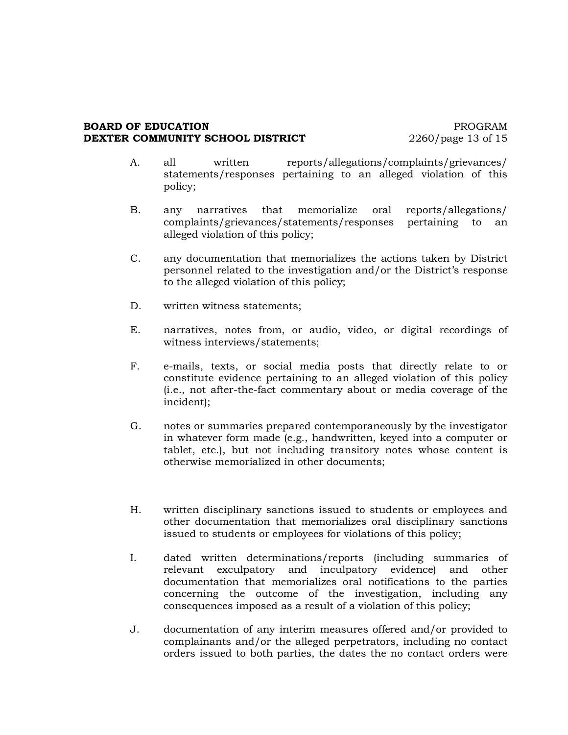#### **BOARD OF EDUCATION PROGRAM DEXTER COMMUNITY SCHOOL DISTRICT** 2260/page 13 of 15

- A. all written reports/allegations/complaints/grievances/ statements/responses pertaining to an alleged violation of this policy;
- B. any narratives that memorialize oral reports/allegations/ complaints/grievances/statements/responses pertaining to an alleged violation of this policy;
- C. any documentation that memorializes the actions taken by District personnel related to the investigation and/or the District's response to the alleged violation of this policy;
- D. written witness statements;
- E. narratives, notes from, or audio, video, or digital recordings of witness interviews/statements;
- F. e-mails, texts, or social media posts that directly relate to or constitute evidence pertaining to an alleged violation of this policy (i.e., not after-the-fact commentary about or media coverage of the incident);
- G. notes or summaries prepared contemporaneously by the investigator in whatever form made (e.g., handwritten, keyed into a computer or tablet, etc.), but not including transitory notes whose content is otherwise memorialized in other documents;
- H. written disciplinary sanctions issued to students or employees and other documentation that memorializes oral disciplinary sanctions issued to students or employees for violations of this policy;
- I. dated written determinations/reports (including summaries of relevant exculpatory and inculpatory evidence) and other documentation that memorializes oral notifications to the parties concerning the outcome of the investigation, including any consequences imposed as a result of a violation of this policy;
- J. documentation of any interim measures offered and/or provided to complainants and/or the alleged perpetrators, including no contact orders issued to both parties, the dates the no contact orders were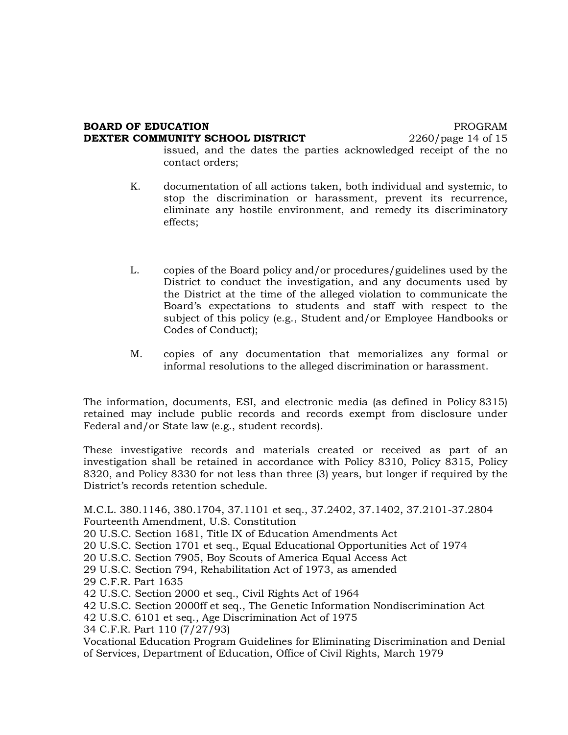#### **BOARD OF EDUCATION PROGRAM DEXTER COMMUNITY SCHOOL DISTRICT** 2260/page 14 of 15

issued, and the dates the parties acknowledged receipt of the no contact orders;

- K. documentation of all actions taken, both individual and systemic, to stop the discrimination or harassment, prevent its recurrence, eliminate any hostile environment, and remedy its discriminatory effects;
- L. copies of the Board policy and/or procedures/guidelines used by the District to conduct the investigation, and any documents used by the District at the time of the alleged violation to communicate the Board's expectations to students and staff with respect to the subject of this policy (e.g., Student and/or Employee Handbooks or Codes of Conduct);
- M. copies of any documentation that memorializes any formal or informal resolutions to the alleged discrimination or harassment.

The information, documents, ESI, and electronic media (as defined in Policy 8315) retained may include public records and records exempt from disclosure under Federal and/or State law (e.g., student records).

These investigative records and materials created or received as part of an investigation shall be retained in accordance with Policy 8310, Policy 8315, Policy 8320, and Policy 8330 for not less than three (3) years, but longer if required by the District's records retention schedule.

M.C.L. 380.1146, 380.1704, 37.1101 et seq., 37.2402, 37.1402, 37.2101-37.2804 Fourteenth Amendment, U.S. Constitution

20 U.S.C. Section 1681, Title IX of Education Amendments Act

20 U.S.C. Section 1701 et seq., Equal Educational Opportunities Act of 1974

20 U.S.C. Section 7905, Boy Scouts of America Equal Access Act

29 U.S.C. Section 794, Rehabilitation Act of 1973, as amended

29 C.F.R. Part 1635

42 U.S.C. Section 2000 et seq., Civil Rights Act of 1964

- 42 U.S.C. Section 2000ff et seq., The Genetic Information Nondiscrimination Act
- 42 U.S.C. 6101 et seq., Age Discrimination Act of 1975

34 C.F.R. Part 110 (7/27/93)

Vocational Education Program Guidelines for Eliminating Discrimination and Denial of Services, Department of Education, Office of Civil Rights, March 1979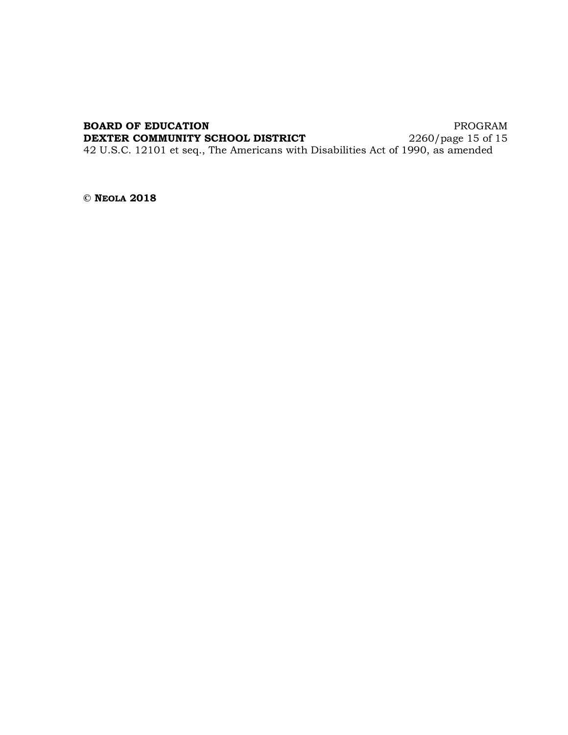#### **BOARD OF EDUCATION** PROGRAM

**DEXTER COMMUNITY SCHOOL DISTRICT** 2260/page 15 of 15

42 U.S.C. 12101 et seq., The Americans with Disabilities Act of 1990, as amended

**© NEOLA 2018**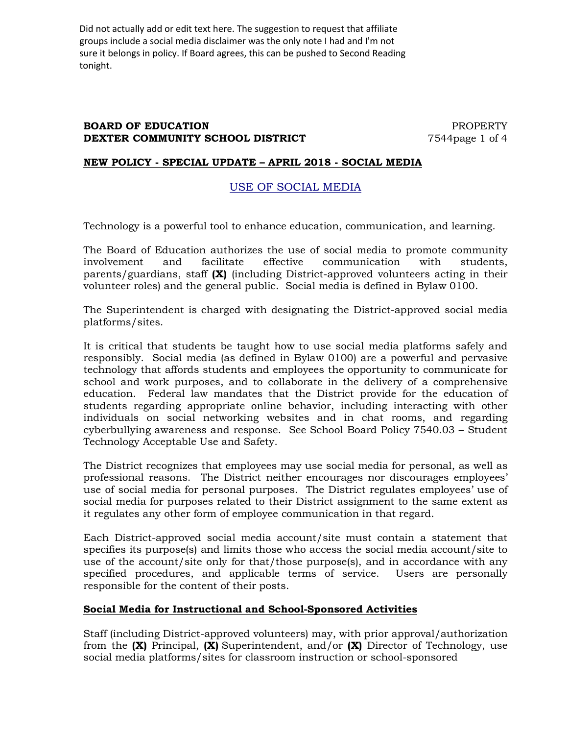Did not actually add or edit text here. The suggestion to request that affiliate groups include a social media disclaimer was the only note I had and I'm not sure it belongs in policy. If Board agrees, this can be pushed to Second Reading tonight.

### **BOARD OF EDUCATION PROPERTY DEXTER COMMUNITY SCHOOL DISTRICT** 7544page 1 of 4

### **NEW POLICY - SPECIAL UPDATE – APRIL 2018 - SOCIAL MEDIA**

# USE OF SOCIAL MEDIA

Technology is a powerful tool to enhance education, communication, and learning.

The Board of Education authorizes the use of social media to promote community involvement and facilitate effective communication with students, parents/guardians, staff **(X)** (including District-approved volunteers acting in their volunteer roles) and the general public. Social media is defined in Bylaw 0100.

The Superintendent is charged with designating the District-approved social media platforms/sites.

It is critical that students be taught how to use social media platforms safely and responsibly. Social media (as defined in Bylaw 0100) are a powerful and pervasive technology that affords students and employees the opportunity to communicate for school and work purposes, and to collaborate in the delivery of a comprehensive education. Federal law mandates that the District provide for the education of students regarding appropriate online behavior, including interacting with other individuals on social networking websites and in chat rooms, and regarding cyberbullying awareness and response. See School Board Policy 7540.03 – Student Technology Acceptable Use and Safety.

The District recognizes that employees may use social media for personal, as well as professional reasons. The District neither encourages nor discourages employees' use of social media for personal purposes. The District regulates employees' use of social media for purposes related to their District assignment to the same extent as it regulates any other form of employee communication in that regard.

Each District-approved social media account/site must contain a statement that specifies its purpose(s) and limits those who access the social media account/site to use of the account/site only for that/those purpose(s), and in accordance with any specified procedures, and applicable terms of service. Users are personally responsible for the content of their posts.

# **Social Media for Instructional and School-Sponsored Activities**

Staff (including District-approved volunteers) may, with prior approval/authorization from the **(X)** Principal, **(X)** Superintendent, and/or **(X)** Director of Technology, use social media platforms/sites for classroom instruction or school-sponsored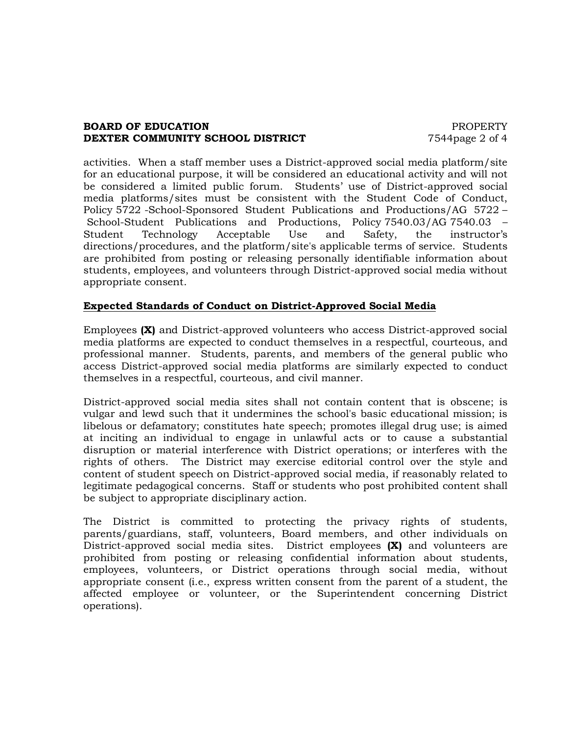### **BOARD OF EDUCATION PROPERTY DEXTER COMMUNITY SCHOOL DISTRICT** 7544page 2 of 4

activities. When a staff member uses a District-approved social media platform/site for an educational purpose, it will be considered an educational activity and will not be considered a limited public forum. Students' use of District-approved social media platforms/sites must be consistent with the Student Code of Conduct, Policy 5722 -School-Sponsored Student Publications and Productions/AG 5722 – School-Student Publications and Productions, Policy 7540.03/AG 7540.03 – Student Technology Acceptable Use and Safety, the instructor's directions/procedures, and the platform/site's applicable terms of service. Students are prohibited from posting or releasing personally identifiable information about students, employees, and volunteers through District-approved social media without appropriate consent.

# **Expected Standards of Conduct on District-Approved Social Media**

Employees **(X)** and District-approved volunteers who access District-approved social media platforms are expected to conduct themselves in a respectful, courteous, and professional manner. Students, parents, and members of the general public who access District-approved social media platforms are similarly expected to conduct themselves in a respectful, courteous, and civil manner.

District-approved social media sites shall not contain content that is obscene; is vulgar and lewd such that it undermines the school's basic educational mission; is libelous or defamatory; constitutes hate speech; promotes illegal drug use; is aimed at inciting an individual to engage in unlawful acts or to cause a substantial disruption or material interference with District operations; or interferes with the rights of others. The District may exercise editorial control over the style and content of student speech on District-approved social media, if reasonably related to legitimate pedagogical concerns. Staff or students who post prohibited content shall be subject to appropriate disciplinary action.

The District is committed to protecting the privacy rights of students, parents/guardians, staff, volunteers, Board members, and other individuals on District-approved social media sites. District employees **(X)** and volunteers are prohibited from posting or releasing confidential information about students, employees, volunteers, or District operations through social media, without appropriate consent (i.e., express written consent from the parent of a student, the affected employee or volunteer, or the Superintendent concerning District operations).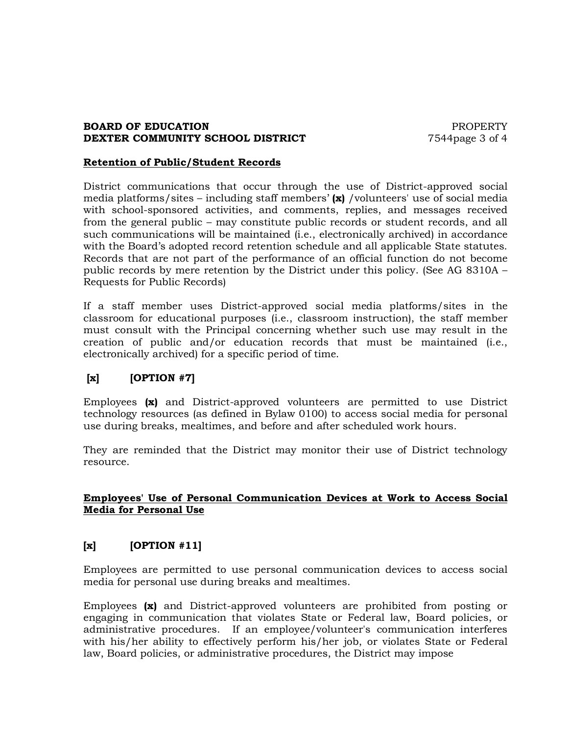### **BOARD OF EDUCATION PROPERTY DEXTER COMMUNITY SCHOOL DISTRICT** 7544page 3 of 4

#### **Retention of Public/Student Records**

District communications that occur through the use of District-approved social media platforms/sites – including staff members' **(x)** /volunteers' use of social media with school-sponsored activities, and comments, replies, and messages received from the general public – may constitute public records or student records, and all such communications will be maintained (i.e., electronically archived) in accordance with the Board's adopted record retention schedule and all applicable State statutes. Records that are not part of the performance of an official function do not become public records by mere retention by the District under this policy. (See AG 8310A – Requests for Public Records)

If a staff member uses District-approved social media platforms/sites in the classroom for educational purposes (i.e., classroom instruction), the staff member must consult with the Principal concerning whether such use may result in the creation of public and/or education records that must be maintained (i.e., electronically archived) for a specific period of time.

# **[x] [OPTION #7]**

Employees **(x)** and District-approved volunteers are permitted to use District technology resources (as defined in Bylaw 0100) to access social media for personal use during breaks, mealtimes, and before and after scheduled work hours.

They are reminded that the District may monitor their use of District technology resource.

# **Employees' Use of Personal Communication Devices at Work to Access Social Media for Personal Use**

# **[x] [OPTION #11]**

Employees are permitted to use personal communication devices to access social media for personal use during breaks and mealtimes.

Employees **(x)** and District-approved volunteers are prohibited from posting or engaging in communication that violates State or Federal law, Board policies, or administrative procedures. If an employee/volunteer's communication interferes with his/her ability to effectively perform his/her job, or violates State or Federal law, Board policies, or administrative procedures, the District may impose